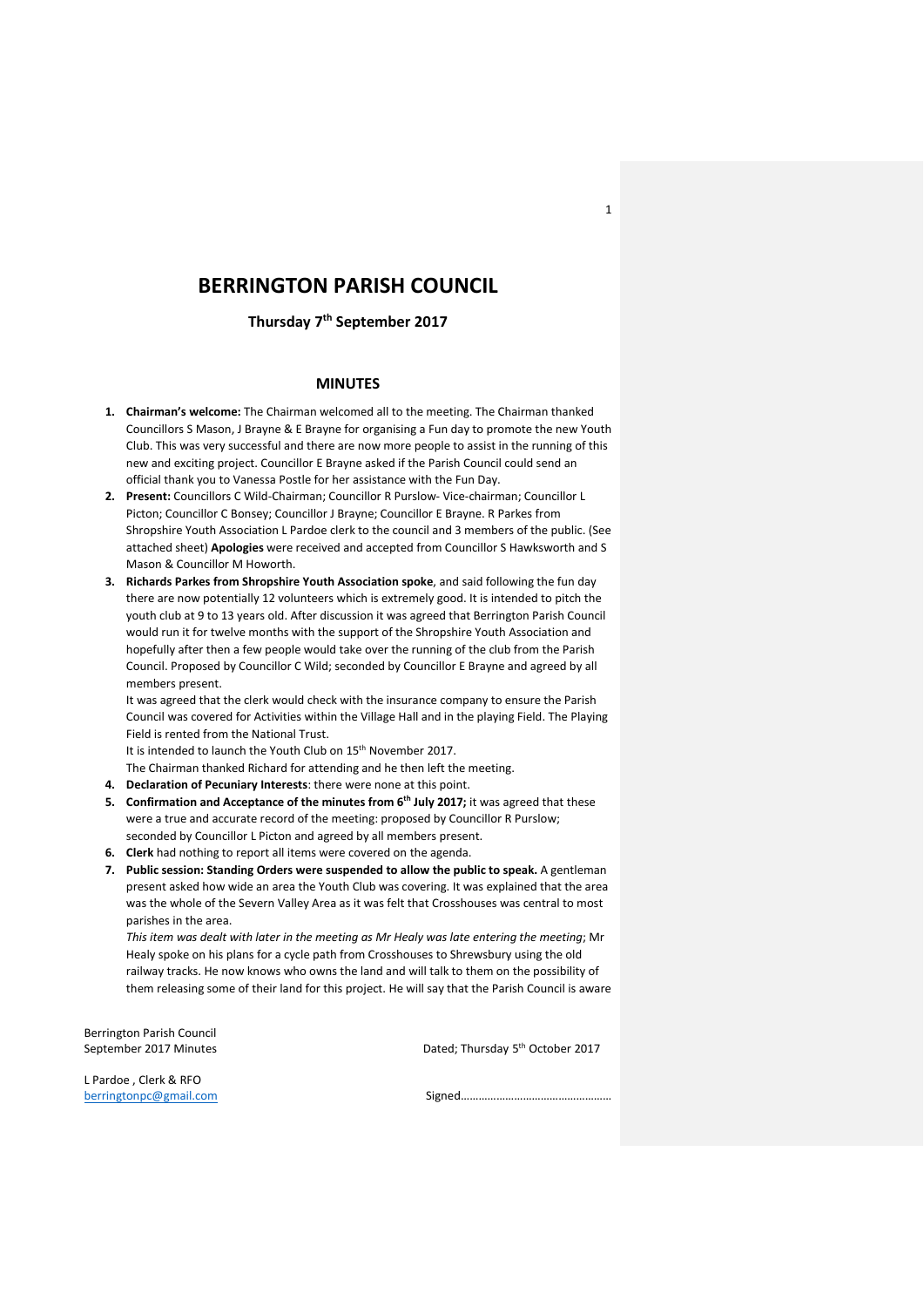# **BERRINGTON PARISH COUNCIL**

**Thursday 7th September 2017**

## **MINUTES**

- **1. Chairman's welcome:** The Chairman welcomed all to the meeting. The Chairman thanked Councillors S Mason, J Brayne & E Brayne for organising a Fun day to promote the new Youth Club. This was very successful and there are now more people to assist in the running of this new and exciting project. Councillor E Brayne asked if the Parish Council could send an official thank you to Vanessa Postle for her assistance with the Fun Day.
- **2. Present:** Councillors C Wild-Chairman; Councillor R Purslow- Vice-chairman; Councillor L Picton; Councillor C Bonsey; Councillor J Brayne; Councillor E Brayne. R Parkes from Shropshire Youth Association L Pardoe clerk to the council and 3 members of the public. (See attached sheet) **Apologies** were received and accepted from Councillor S Hawksworth and S Mason & Councillor M Howorth.
- **3. Richards Parkes from Shropshire Youth Association spoke**, and said following the fun day there are now potentially 12 volunteers which is extremely good. It is intended to pitch the youth club at 9 to 13 years old. After discussion it was agreed that Berrington Parish Council would run it for twelve months with the support of the Shropshire Youth Association and hopefully after then a few people would take over the running of the club from the Parish Council. Proposed by Councillor C Wild; seconded by Councillor E Brayne and agreed by all members present.

It was agreed that the clerk would check with the insurance company to ensure the Parish Council was covered for Activities within the Village Hall and in the playing Field. The Playing Field is rented from the National Trust.

It is intended to launch the Youth Club on 15<sup>th</sup> November 2017.

- The Chairman thanked Richard for attending and he then left the meeting.
- **4. Declaration of Pecuniary Interests**: there were none at this point.
- **5. Confirmation and Acceptance of the minutes from 6th July 2017;** it was agreed that these were a true and accurate record of the meeting: proposed by Councillor R Purslow; seconded by Councillor L Picton and agreed by all members present.
- **6. Clerk** had nothing to report all items were covered on the agenda.
- **7. Public session: Standing Orders were suspended to allow the public to speak.** A gentleman present asked how wide an area the Youth Club was covering. It was explained that the area was the whole of the Severn Valley Area as it was felt that Crosshouses was central to most parishes in the area.

*This item was dealt with later in the meeting as Mr Healy was late entering the meeting*; Mr Healy spoke on his plans for a cycle path from Crosshouses to Shrewsbury using the old railway tracks. He now knows who owns the land and will talk to them on the possibility of them releasing some of their land for this project. He will say that the Parish Council is aware

Berrington Parish Council September 2017 Minutes

Dated; Thursday 5<sup>th</sup> October 2017

1

L Pardoe , Clerk & RFO

[berringtonpc@gmail.com](mailto:berringtonpc@gmail.com) Signed……………………………………………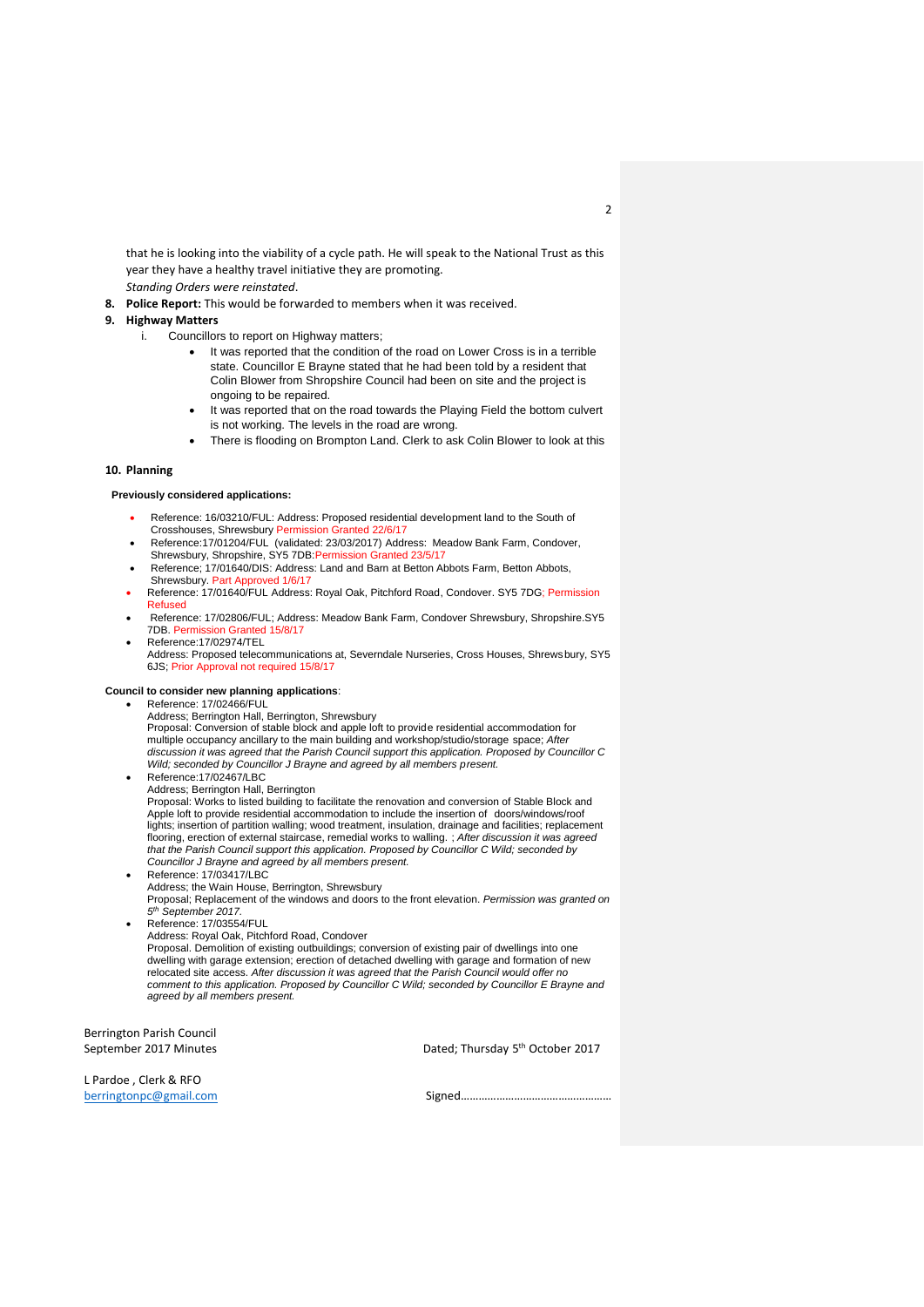that he is looking into the viability of a cycle path. He will speak to the National Trust as this year they have a healthy travel initiative they are promoting. *Standing Orders were reinstated*.

**8. Police Report:** This would be forwarded to members when it was received.

# **9. Highway Matters**

- i. Councillors to report on Highway matters;
	- It was reported that the condition of the road on Lower Cross is in a terrible state. Councillor E Brayne stated that he had been told by a resident that Colin Blower from Shropshire Council had been on site and the project is ongoing to be repaired.
	- It was reported that on the road towards the Playing Field the bottom culvert is not working. The levels in the road are wrong.
	- There is flooding on Brompton Land. Clerk to ask Colin Blower to look at this

#### **10. Planning**

#### **Previously considered applications:**

- Reference: 16/03210/FUL: Address: Proposed residential development land to the South of Crosshouses, Shrewsbury Permission Granted 22/6/17
- Reference:17/01204/FUL (validated: 23/03/2017) Address: Meadow Bank Farm, Condover,<br>Shrewsbury, Shropshire, SY5 7DB:Permission Granted 23/5/17
- Reference; 17/01640/DIS: Address: Land and Barn at Betton Abbots Farm, Betton Abbots, Shrewsbury. Part Approved 1/6/17
- Reference: 17/01640/FUL Address: Royal Oak, Pitchford Road, Condover. SY5 7DG; Permission Refused
- Reference: 17/02806/FUL; Address: Meadow Bank Farm, Condover Shrewsbury, Shropshire.SY5 7DB. Permission Granted 15/8/17
- Reference:17/02974/TEL

Address: Proposed telecommunications at, Severndale Nurseries, Cross Houses, Shrewsbury, SY5 6JS; Prior Approval not required 15/8/17

#### **Council to consider new planning applications**:

- Reference: 17/02466/FUL
	- Address; Berrington Hall, Berrington, Shrewsbury Proposal: Conversion of stable block and apple loft to provide residential accommodation for multiple occupancy ancillary to the main building and workshop/studio/storage space; *After discussion it was agreed that the Parish Council support this application. Proposed by Councillor C Wild; seconded by Councillor J Brayne and agreed by all members present.* Reference:17/02467/LBC
- Address; Berrington Hall, Berrington

Proposal: Works to listed building to facilitate the renovation and conversion of Stable Block and Apple loft to provide residential accommodation to include the insertion of doors/windows/roof lights; insertion of partition walling; wood treatment, insulation, drainage and facilities; replacement flooring, erection of external staircase, remedial works to walling. ; *After discussion it was agreed that the Parish Council support this application. Proposed by Councillor C Wild; seconded by Councillor J Brayne and agreed by all members present.*

- Reference: 17/03417/LBC Address; the Wain House, Berrington, Shrewsbury Proposal; Replacement of the windows and doors to the front elevation. *Permission was granted on 5 th September 2017.*
- Reference: 17/03554/FUL Address: Royal Oak, Pitchford Road, Condover Proposal. Demolition of existing outbuildings; conversion of existing pair of dwellings into one dwelling with garage extension; erection of detached dwelling with garage and formation of new relocated site access. *After discussion it was agreed that the Parish Council would offer no comment to this application. Proposed by Councillor C Wild; seconded by Councillor E Brayne and agreed by all members present.*

Berrington Parish Council September 2017 Minutes

Dated; Thursday 5<sup>th</sup> October 2017

L Pardoe , Clerk & RFO [berringtonpc@gmail.com](mailto:berringtonpc@gmail.com) Signed……………………………………………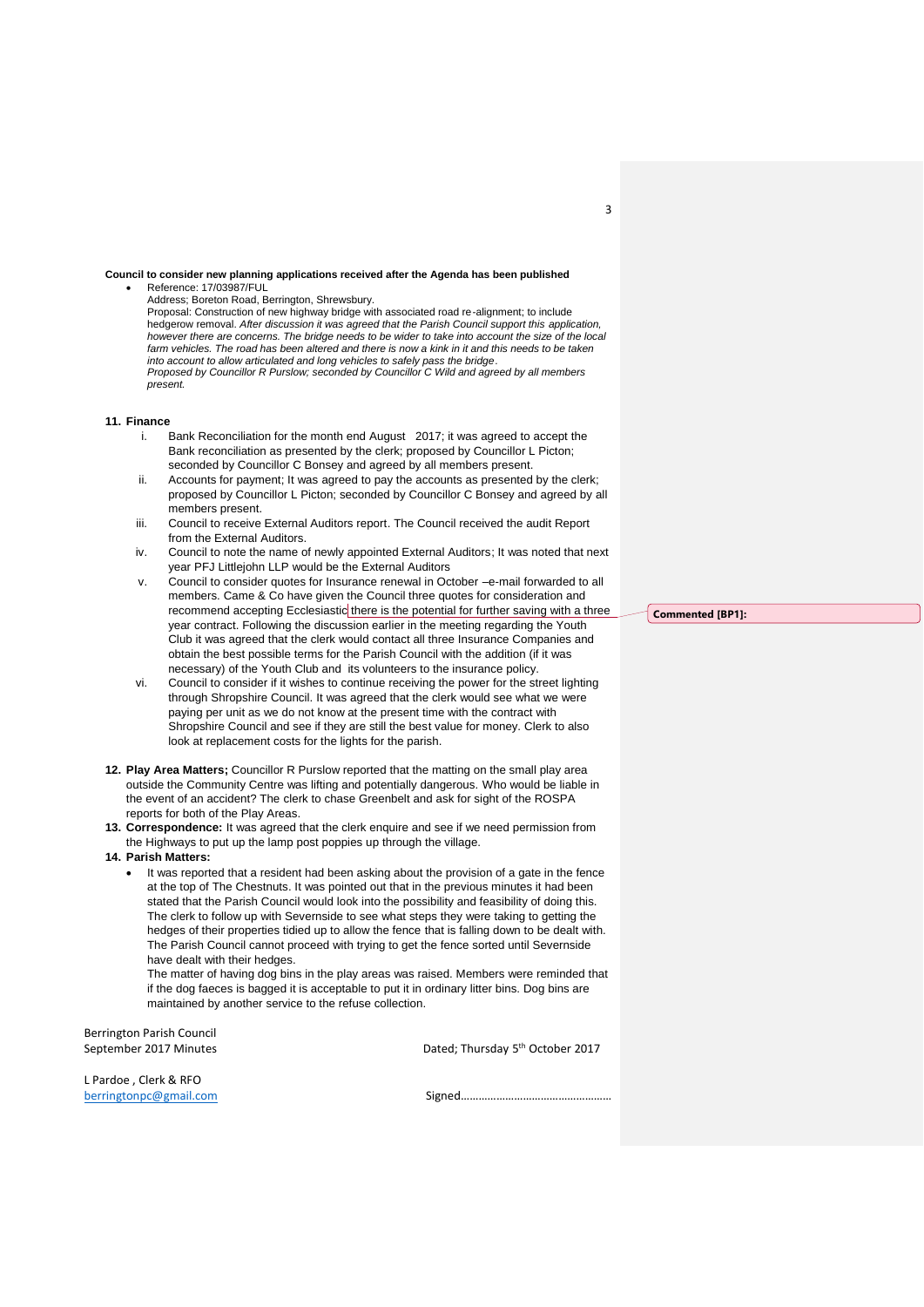#### **Council to consider new planning applications received after the Agenda has been published** Reference: 17/03987/FUL

Address; Boreton Road, Berrington, Shrewsbury. Proposal: Construction of new highway bridge with associated road re-alignment; to include hedgerow removal. *After discussion it was agreed that the Parish Council support this application, however there are concerns. The bridge needs to be wider to take into account the size of the local farm vehicles. The road has been altered and there is now a kink in it and this needs to be taken into account to allow articulated and long vehicles to safely pass the bridge. Proposed by Councillor R Purslow; seconded by Councillor C Wild and agreed by all members present.*

### **11. Finance**

- i. Bank Reconciliation for the month end August 2017; it was agreed to accept the Bank reconciliation as presented by the clerk; proposed by Councillor L Picton; seconded by Councillor C Bonsey and agreed by all members present.
- ii. Accounts for payment; It was agreed to pay the accounts as presented by the clerk; proposed by Councillor L Picton; seconded by Councillor C Bonsey and agreed by all members present.
- iii. Council to receive External Auditors report. The Council received the audit Report from the External Auditors.
- iv. Council to note the name of newly appointed External Auditors; It was noted that next year PFJ Littlejohn LLP would be the External Auditors
- v. Council to consider quotes for Insurance renewal in October –e-mail forwarded to all members. Came & Co have given the Council three quotes for consideration and recommend accepting Ecclesiastic there is the potential for further saving with a three year contract. Following the discussion earlier in the meeting regarding the Youth Club it was agreed that the clerk would contact all three Insurance Companies and obtain the best possible terms for the Parish Council with the addition (if it was necessary) of the Youth Club and its volunteers to the insurance policy.
- vi. Council to consider if it wishes to continue receiving the power for the street lighting through Shropshire Council. It was agreed that the clerk would see what we were paying per unit as we do not know at the present time with the contract with Shropshire Council and see if they are still the best value for money. Clerk to also look at replacement costs for the lights for the parish.
- **12. Play Area Matters;** Councillor R Purslow reported that the matting on the small play area outside the Community Centre was lifting and potentially dangerous. Who would be liable in the event of an accident? The clerk to chase Greenbelt and ask for sight of the ROSPA reports for both of the Play Areas.
- **13. Correspondence:** It was agreed that the clerk enquire and see if we need permission from the Highways to put up the lamp post poppies up through the village.
- **14. Parish Matters:**
	- It was reported that a resident had been asking about the provision of a gate in the fence at the top of The Chestnuts. It was pointed out that in the previous minutes it had been stated that the Parish Council would look into the possibility and feasibility of doing this. The clerk to follow up with Severnside to see what steps they were taking to getting the hedges of their properties tidied up to allow the fence that is falling down to be dealt with. The Parish Council cannot proceed with trying to get the fence sorted until Severnside have dealt with their hedges.

The matter of having dog bins in the play areas was raised. Members were reminded that if the dog faeces is bagged it is acceptable to put it in ordinary litter bins. Dog bins are maintained by another service to the refuse collection.

Berrington Parish Council September 2017 Minutes

Dated; Thursday 5<sup>th</sup> October 2017

L Pardoe , Clerk & RFO [berringtonpc@gmail.com](mailto:berringtonpc@gmail.com) Signed……………………………………………

**Commented [BP1]:** 

3